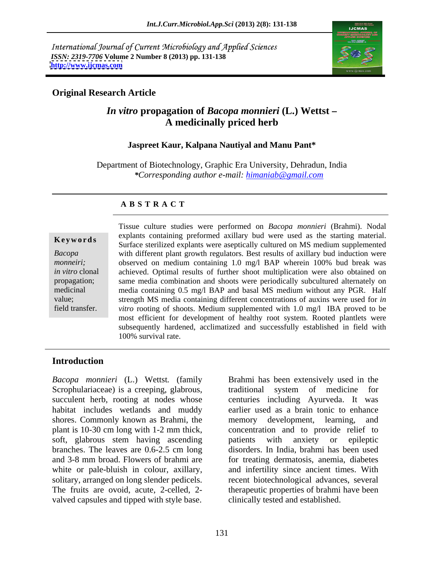International Journal of Current Microbiology and Applied Sciences *ISSN: 2319-7706* **Volume 2 Number 8 (2013) pp. 131-138 <http://www.ijcmas.com>**



### **Original Research Article**

# *In vitro* **propagation of** *Bacopa monnieri* **(L.) Wettst A medicinally priced herb**

### **Jaspreet Kaur, Kalpana Nautiyal and Manu Pant\***

Department of Biotechnology, Graphic Era University, Dehradun, India *\*Corresponding author e-mail: himaniab@gmail.com*

### **A B S T R A C T**

**Keywords**<br>
Surface sterilized explants were aseptically cultured on MS medium supplemented *Bacopa*  with different plant growth regulators. Best results of axillary bud induction were *monneiri;* observed on medium containing 1.0 mg/l BAP wherein 100% bud break was *in vitro* clonal achieved. Optimal results of further shoot multiplication were also obtained on propagation; same media combination and shoots were periodically subcultured alternately on medicinal media containing 0.5 mg/l BAP and basal MS medium without any PGR. Half value; strength MS media containing different concentrations of auxins were used for *in* field transfer. *vitro* rooting of shoots. Medium supplemented with 1.0 mg/l IBA proved to be Tissue culture studies were performed on *Bacopa monnieri* (Brahmi). Nodal explants containing preformed axillary bud were used as the starting material. most efficient for development of healthy root system. Rooted plantlets were subsequently hardened, acclimatized and successfully established in field with 100% survival rate.

# **Introduction**

*Bacopa monnieri* (L.) Wettst*.* (family Brahmi has been extensively used in the Scrophulariaceae) is a creeping, glabrous, succulent herb, rooting at nodes whose centuries including Ayurveda. It was habitat includes wetlands and muddy earlier used as a brain tonic to enhance shores. Commonly known as Brahmi, the memory development, learning, and plant is 10-30 cm long with 1-2 mm thick, soft, glabrous stem having ascending patients with anxiety or epileptic branches. The leaves are 0.6-2.5 cm long disorders. In India, brahmi has been used and 3-8 mm broad. Flowers of brahmi are for treating dermatosis, anemia, diabetes white or pale-bluish in colour, axillary, and infertility since ancient times. With solitary, arranged on long slender pedicels. The recent biotechnological advances, several The fruits are ovoid, acute, 2-celled, 2- therapeutic properties of brahmi have been valved capsules and tipped with style base.

traditional system of medicine for memory development, learning, concentration and to provide relief to patients with anxiety or epileptic clinically tested and established.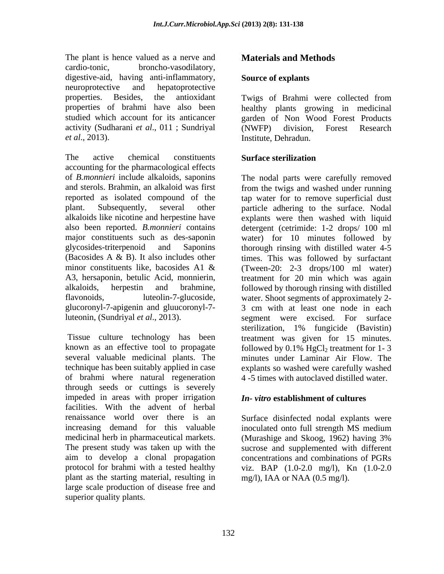The plant is hence valued as a nerve and **Materials and Methods** cardio-tonic, broncho-vasodilatory, digestive-aid, having anti-inflammatory, Source of explants neuroprotective and hepatoprotective properties. Besides, the antioxidant Twigs of Brahmi were collected from properties of brahmi have also been studied which account for its anticancer garden of Non Wood Forest Products activity (Sudharani *et al*., 011 ; Sundriyal *et al*., 2013). Institute, Dehradun.

The active chemical constituents **Surface sterilization** accounting for the pharmacological effects of *B.monnieri* include alkaloids, saponins The nodal parts were carefully removed and sterols. Brahmin, an alkaloid was first from the twigs and washed under running reported as isolated compound of the tap water for to remove superficial dust plant. Subsequently, several other particle adhering to the surface. Nodal alkaloids like nicotine and herpestine have explants were then washed with liquid also been reported. *B.monnieri* contains detergent (cetrimide: 1-2 drops/ 100 ml major constituents such as des-saponin water) for 10 minutes followed by glycosides-triterpenoid and Saponins thorough rinsing with distilled water 4-5 (Bacosides A & B). It also includes other times. This was followed by surfactant minor constituents like, bacosides A1 & (Tween-20: 2-3 drops/100 ml water) A3, hersaponin, betulic Acid, monnierin, treatment for 20 min which was again alkaloids, herpestin and brahmine, followed by thorough rinsing with distilled flavonoids, luteolin-7-glucoside, water. Shoot segments of approximately 2 glucoronyl-7-apigenin and gluucoronyl-7-<br>
3 cm with at least one node in each<br>
luteonin, (Sundriyal *et al.*, 2013).<br>
Superposed were excised. For surface luteonin, (Sundriyal *et al*., 2013). segment were excised. For surface

known as an effective tool to propagate  $\qquad$  followed by 0.1% HgCl<sub>2</sub> treatment for 1-3 several valuable medicinal plants. The minutes under Laminar Air Flow. The technique has been suitably applied in case explants so washed were carefully washed of brahmi where natural regeneration through seeds or cuttings is severely impeded in areas with proper irrigation facilities. With the advent of herbal renaissance world over there is an Surface disinfected nodal explants were increasing demand for this valuable inoculated onto full strength MS medium medicinal herb in pharmaceutical markets. (Murashige and Skoog, 1962) having 3% The present study was taken up with the sucrose and supplemented with different aim to develop a clonal propagation concentrations and combinations of PGRs protocol for brahmi with a tested healthy viz. BAP (1.0-2.0 mg/l), Kn (1.0-2.0 plant as the starting material, resulting in large scale production of disease free and superior quality plants.

### **Source of explants**

healthy plants growing in medicinal (NWFP) division, Forest Research

## **Surface sterilization**

Tissue culture technology has been treatment was given for 15 minutes. The plant is beneval as a newn- and<br>
denotions). Source of splants<br>dependent ones, the consideration of the state and the state of the<br>dependent of the state of the state of the state of the state of the<br>
properties. Fisc 3 cm with at least one node in each sterilization, 1% fungicide (Bavistin) 4 -5 times with autoclaved distilled water.

### *In- vitro* **establishment of cultures**

inoculated onto full strength MS medium (Murashige and Skoog, 1962) having 3% mg/l), IAA or NAA (0.5 mg/l).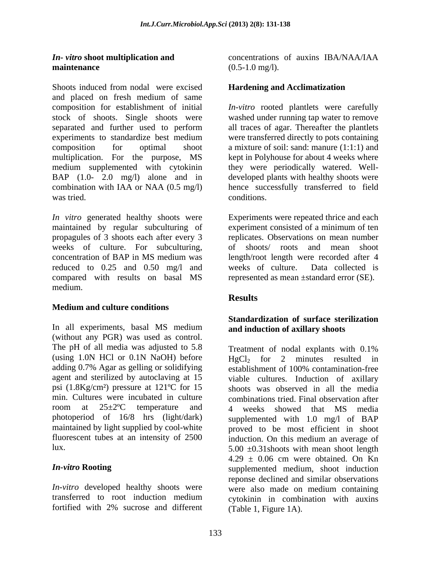Shoots induced from nodal were excised **Hardening and Acclimatization** and placed on fresh medium of same composition for establishment of initial *In-vitro* rooted plantlets were carefully stock of shoots. Single shoots were separated and further used to perform all traces of agar. Thereafter the plantlets experiments to standardize best medium were transferred directly to pots containing composition for optimal shoot a mixture of soil: sand: manure (1:1:1) and multiplication. For the purpose, MS medium supplemented with cytokinin they were periodically watered. Well- BAP (1.0- 2.0 mg/l) alone and in developed plants with healthy shoots were combination with IAA or NAA (0.5 mg/l) hence successfully transferred to field was tried. Conditions.

*In vitro* generated healthy shoots were Experiments were repeated thrice and each maintained by regular subculturing of propagules of 3 shoots each after every 3 weeks of culture. For subculturing, concentration of BAP in MS medium was length/root length were recorded after 4 reduced to 0.25 and 0.50 mg/l and weeks of culture. Data collected is compared with results on basal MS medium.

## **Medium and culture conditions**

In all experiments, basal MS medium and induction of axillary shoots (without any PGR) was used as control.<br>The pH of all media was adjusted to 5.8 (using 1.0N HCl or 0.1N NaOH) before  $HgCl_2$  for 2 minutes resulted in adding 0.7% Agar as gelling or solidifying establishment of 100% contamination-free psi (1.8Kg/cm²) pressure at 121ºC for 15

*In-vitro* developed healthy shoots were were also made on medium containing transferred to root induction medium cytokinin in combination with auxing

*In- vitro* shoot multiplication and *CONDERGIAL CONCERTIVITY CONCERTIVITY CONCERTIVITY CONCERTIVITY OF AUXIN* **SIDE CONCERTIVITY OF AUXINE maintenance** (0.5-1.0 mg/l). concentrations of auxins IBA/NAA/IAA  $(0.5-1.0 \text{ mg/l}).$ 

### **Hardening and Acclimatization**

washed under running tap water to remove were transferred directly to pots containing kept in Polyhouse for about 4 weeks where conditions.

experiment consisted of a minimum of ten replicates. Observations on mean number of shoots/ roots and mean shoot represented as mean ±standard error (SE).

## **Results**

## **Standardization of surface sterilization and induction of axillary shoots**

Treatment of nodal explants with  $0.1\%$ establishment of 100% contamination-free agent and sterilized by autoclaving at 15 viable cultures. Induction of axillary min. Cultures were incubated in culture combinations tried. Final observation after room at 25±2ºC temperature and 4 weeks showed that MS media photoperiod of 16/8 hrs (light/dark) supplemented with 1.0 mg/l of BAP maintained by light supplied by cool-white row proved to be most efficient in shoot fluorescent tubes at an intensity of 2500 induction. On this medium an average of lux.  $5.00 \pm 0.31$  shoots with mean shoot length *In-vitro* **Rooting** supplemented medium, shoot induction transferred to root induction medium cytokinin in combination with auxins fortified with 2% sucrose and different (Table 1, Figure 1A). Treatment of nodal explants with 0.1%  $HgCl<sub>2</sub>$  for 2 minutes resulted establishment of 100% contamination-free shoots was observed in all the media  $4.29 \pm 0.06$  cm were obtained. On Kn reponse declined and similar observations were also made on medium containing (Table 1, Figure 1A).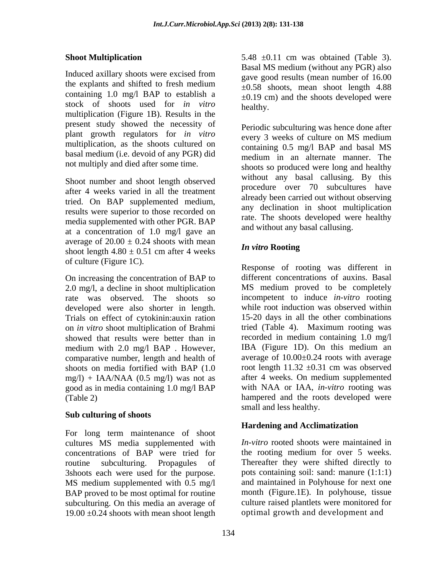the explants and shifted to fresh medium containing 1.0 mg/l BAP to establish a stock of shoots used for *in vitro* multiplication (Figure 1B). Results in the present study showed the necessity of plant growth regulators for *in vitro* every 3 weeks of culture on MS medium multiplication, as the shoots cultured on basal medium (i.e. devoid of any PGR) did not multiply and died after some time.

Shoot number and shoot length observed after 4 weeks varied in all the treatment tried. On BAP supplemented medium, results were superior to those recorded on media supplemented with other PGR. BAP at a concentration of 1.0 mg/l gave an average of  $20.00 \pm 0.24$  shoots with mean shoot length  $4.80 \pm 0.51$  cm after 4 weeks

2.0 mg/l, a decline in shoot multiplication rate was observed. The shoots so developed were also shorter in length. Trials on effect of cytokinin:auxin ration 15-20 days in all the other combinations<br>on *in vitro* shoot multiplication of Brahmi tried (Table 4). Maximum rooting was on *in vitro* shoot multiplication of Brahmi medium with 2.0 mg/l BAP. However, IBA (Figure 1D). On this medium an comparative number, length and health of shoots on media fortified with BAP (1.0  $mg/l$ ) + IAA/NAA (0.5 mg/l) was not as good as in media containing 1.0 mg/l BAP

### **Sub culturing of shoots**

For long term maintenance of shoot cultures MS media supplemented with concentrations of BAP were tried for routine subculturing. Propagules of Thereafter they were shifted directly to 3shoots each were used for the purpose. MS medium supplemented with 0.5 mg/l BAP proved to be most optimal for routine subculturing. On this media an average of culture raised plantlets were monitored for  $19.00 \pm 0.24$  shoots with mean shoot length

**Shoot Multiplication** 5.48  $\pm$ 0.11 cm was obtained (Table 3). Induced axillary shoots were excised from  $\frac{2 \text{ m/s}}{9 \text{ s}}$  and results (mean number of 16.00 5.48 ±0.11 cm was obtained (Table 3). Basal MS medium (without any PGR) also gave good results (mean number of 16.00  $\pm 0.58$  shoots, mean shoot length 4.88  $\pm 0.19$  cm) and the shoots developed were healthy.

> Periodic subculturing was hence done after every 3 weeks of culture on MS medium containing 0.5 mg/l BAP and basal MS medium in an alternate manner. The shoots so produced were long and healthy without any basal callusing. By this procedure over 70 subcultures have already been carried out without observing any declination in shoot multiplication rate. The shoots developed were healthy and without any basal callusing.

## *In vitro* **Rooting**

of culture (Figure 1C).<br>
On increasing the concentration of BAP to different concentrations of auxins. Basal showed that results were better than in recorded in medium containing 1.0 mg/l (Table 2) hampered and the roots developed were Response of rooting was different in different concentrations of auxins. Basal MS medium proved to be completely incompetent to induce *in-vitro* rooting while root induction was observed within 15-20 days in all the other combinations tried (Table 4). Maximum rooting was IBA (Figure 1D). On this medium an average of 10.00±0.24 roots with average root length  $11.32 \pm 0.31$  cm was observed after 4 weeks. On medium supplemented with NAA or IAA, *in-vitro* rooting was small and less healthy.

## **Hardening and Acclimatization**

*In-vitro* rooted shoots were maintained in the rooting medium for over 5 weeks. pots containing soil: sand: manure (1:1:1) and maintained in Polyhouse for next one month (Figure.1E). In polyhouse, tissue optimal growth and development and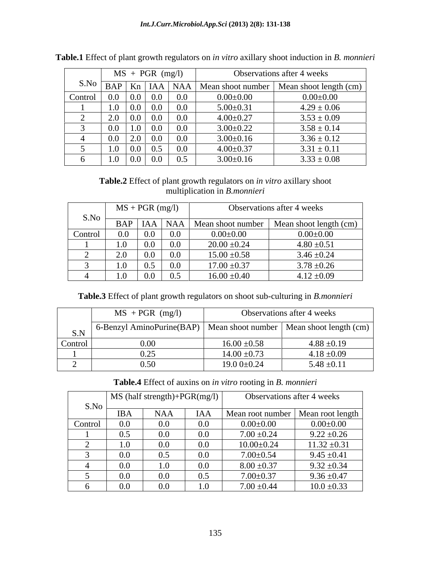|         | $MS + PGR$ (mg/l) |                               |                                                                    |         | Observations after 4 weeks |                 |                                                                   |
|---------|-------------------|-------------------------------|--------------------------------------------------------------------|---------|----------------------------|-----------------|-------------------------------------------------------------------|
| S.No    |                   |                               |                                                                    |         |                            |                 | BAP   Kn   IAA   NAA   Mean shoot number   Mean shoot length (cm) |
| Control |                   | $0.0 \,   \, 0.0 \,   \, 0.0$ |                                                                    |         | $0.0\,$                    | $0.00 \pm 0.00$ | $0.00 \pm 0.00$                                                   |
|         |                   | $1.0 \ 0.0 \ 0.0$             |                                                                    |         | $0.0\,$                    | $5.00 \pm 0.31$ | $4.29 \pm 0.06$                                                   |
|         |                   | $2.0 \,   \, 0.0 \,   \, 0.0$ |                                                                    |         | $0.0\,$                    | $4.00 \pm 0.27$ | $3.53 \pm 0.09$                                                   |
|         |                   | 0.0 <sub>1</sub>              | 1.0                                                                | $0.0\,$ | 0.0                        | $3.00 \pm 0.22$ | $3.58 \pm 0.14$                                                   |
|         |                   | 2.0<br>0.0                    |                                                                    | $0.0\,$ | $0.0\,$                    | $3.00 \pm 0.16$ | $3.36 \pm 0.12$                                                   |
|         | U.I               |                               | $0.0 \,   \, 0.5$                                                  |         | $0.0\,$                    | $4.00 \pm 0.37$ | $3.31 \pm 0.11$                                                   |
|         |                   | 0.1                           | $\begin{array}{ c c c c c } \hline 0.0 & 0.0 \ \hline \end{array}$ |         | 0.5                        | $3.00 \pm 0.16$ | $3.33 \pm 0.08$                                                   |

**Table.1** Effect of plant growth regulators on *in vitro* axillary shoot induction in *B. monnieri*

## **Table.2** Effect of plant growth regulators on *in vitro* axillary shoot multiplication in *B.monnieri*

|         |                     | $MS + PGR$ (mg/l) |                 |                                       | Observations after 4 weeks |
|---------|---------------------|-------------------|-----------------|---------------------------------------|----------------------------|
| S.No    | BAP                 |                   | $HA$ NAA        | $\lfloor$ Mean shoot number $\lfloor$ | Mean shoot length (cm)     |
| Control | 0.0                 | 0.0               | $0.0\,$         | $0.00\pm0.00$                         | $0.00\pm0.00$              |
|         | 1.0                 | 0.0               | $0.0\,$         | $20.00 \pm 0.24$                      | $4.80 \pm 0.51$            |
|         | 20<br>$\sim$ $\sim$ | 0.0               | $0.0\,$         | $15.00 \pm 0.58$                      | $3.46 \pm 0.24$            |
|         | 1.0                 | . –<br>0.5        | $\alpha$<br>V.V | $17.00 \pm 0.37$                      | $3.78 \pm 0.26$            |
|         | 1.0                 | 0.0               | 0.5             | $16.00 \pm 0.40$                      | $4.12 \pm 0.09$            |

**Table.3** Effect of plant growth regulators on shoot sub-culturing in *B.monnieri*

|         | $MS$ + PGR (mg/l)                                                      | Observations after 4 weeks |                 |  |
|---------|------------------------------------------------------------------------|----------------------------|-----------------|--|
| S.N     | 6-Benzyl AminoPurine(BAP)   Mean shoot number   Mean shoot length (cm) |                            |                 |  |
| Control | 0.00                                                                   | $16.00 \pm 0.58$           | $4.88 \pm 0.19$ |  |
|         | っく<br>$J \cdot \overline{\omega}$                                      | $14.00 \pm 0.73$           | $4.18 \pm 0.09$ |  |
|         | ۱ 5 ت<br>v.Jv                                                          | 19.0 $0\pm 0.24$           | $5.48 \pm 0.11$ |  |

**Table.4** Effect of auxins on *in vitro* rooting in *B. monnieri*

|         |            | $\vert$ MS (half strength)+PGR(mg/l) $\vert$ |         | Observations after 4 weeks          |                  |
|---------|------------|----------------------------------------------|---------|-------------------------------------|------------------|
| S.No    | <b>IBA</b> | NAA                                          | IAA     | Mean root number   Mean root length |                  |
| Control | $0.0\,$    | 0.0                                          | $0.0\,$ | $0.00 \pm 0.00$                     | $0.00\pm0.00$    |
|         | 0.5        |                                              | $0.0\,$ | $7.00 \pm 0.24$                     | $9.22 \pm 0.26$  |
|         | 1.0        | $\Omega$                                     | 0.0     | $10.00 \pm 0.24$                    | $11.32 \pm 0.31$ |
|         | $0.0\,$    | 0.5                                          | $0.0\,$ | $7.00 \pm 0.54$                     | $9.45 \pm 0.41$  |
|         | $0.0\,$    | 1.0                                          | $0.0\,$ | $8.00 \pm 0.37$                     | $9.32 \pm 0.34$  |
|         | $0.0\,$    | 0 <sup>c</sup>                               | 0.5     | $7.00 \pm 0.37$                     | $9.36 \pm 0.47$  |
|         | $0.0\,$    |                                              | 1.0     | $7.00 \pm 0.44$                     | $10.0 \pm 0.33$  |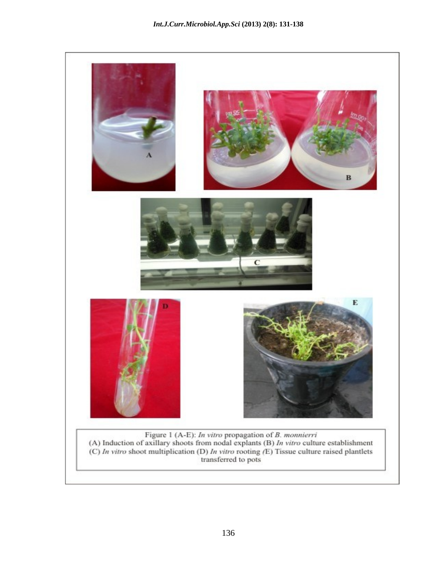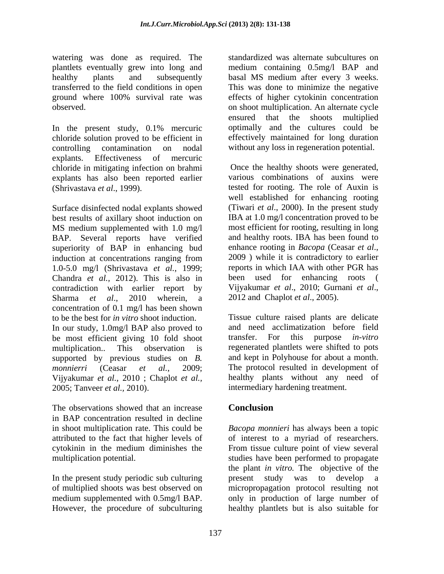watering was done as required. The standardized was alternate subcultures on plantlets eventually grew into long and medium containing 0.5mg/l BAP and healthy plants and subsequently basal MS medium after every 3 weeks. transferred to the field conditions in open This was done to minimize the negative ground where 100% survival rate was observed. on shoot multiplication. An alternate cycle

In the present study, 0.1% mercuric optimally and the cultures could be chloride solution proved to be efficient in controlling contamination on nodal without any loss in regeneration potential. explants. Effectiveness of mercuric chloride in mitigating infection on brahmi explants has also been reported earlier (Shrivastava *et al*., 1999). tested for rooting. The role of Auxin is

Surface disinfected nodal explants showed best results of axillary shoot induction on MS medium supplemented with 1.0 mg/l BAP. Several reports have verified and healthy roots. IBA has been found to superiority of BAP in enhancing bud enhance rooting in *Bacopa* (Ceasar *et al.*, superiority of BAP in enhancing bud enhance rooting in *Bacopa* (Ceasar *et al.*, induction at concentrations ranging from 2009) while it is contradictory to earlier induction at concentrations ranging from 2009) while it is contradictory to earlier 1.0-5.0 mg/l (Shrivastava *et al.*, 1999; Chandra *et al.,* 2012). This is also in contradiction with earlier report by Sharma *et al.*, 2010 wherein, a 2012 and Chaplot *et al.*, 2005). concentration of 0.1 mg/l has been shown to be the best for *in vitro* shoot induction. In our study, 1.0mg/l BAP also proved to be most efficient giving 10 fold shoot transfer. For this purpose in-vitro multiplication.. This observation is regenerated plantlets were shifted to pots supported by previous studies on *B. monnierri* (Ceasar *et al.*, 2009; The protocol resulted in development of Vijyakumar *et al.*, 2010 ; Chaplot *et al.,* 2005; Tanveer *et al.,* 2010). intermediary hardening treatment.

The observations showed that an increase **Conclusion** in BAP concentration resulted in decline attributed to the fact that higher levels of of interest to a myriad of researchers. cytokinin in the medium diminishes the

effects of higher cytokinin concentration ensured that the shoots multiplied optimally and the cultures could be effectively maintained for long duration

Once the healthy shoots were generated, various combinations of auxins were well established for enhancing rooting (Tiwari *et al*., 2000). In the present study IBA at 1.0 mg/l concentration proved to be most efficient for rooting, resulting in long and healthy roots. IBA has been found to enhance rooting in *Bacopa* (Ceasar *et al*., 2009 ) while it is contradictory to earlier reports in which IAA with other PGR has been used for enhancing roots Vijyakumar *et al.*, 2010; Gurnani *et al.*,

Tissue culture raised plants are delicate and need acclimatization before field transfer. For this purpose *in-vitro* and kept in Polyhouse for about a month. healthy plants without any need of

# **Conclusion**

in shoot multiplication rate. This could be *Bacopa monnieri* has always been a topic multiplication potential. studies have been performed to propagate In the present study periodic sub culturing<br>of multiplied shoots was best observed on the micropropagation protocol resulting not of multiplied shoots was best observed on micropropagation protocol resulting not medium supplemented with 0.5mg/l BAP. only in production of large number of However, the procedure of subculturing healthy plantlets but is also suitable forof interest to <sup>a</sup> myriad of researchers. From tissue culture point of view several the plant *in vitro.* The objective of the present study was to develop a